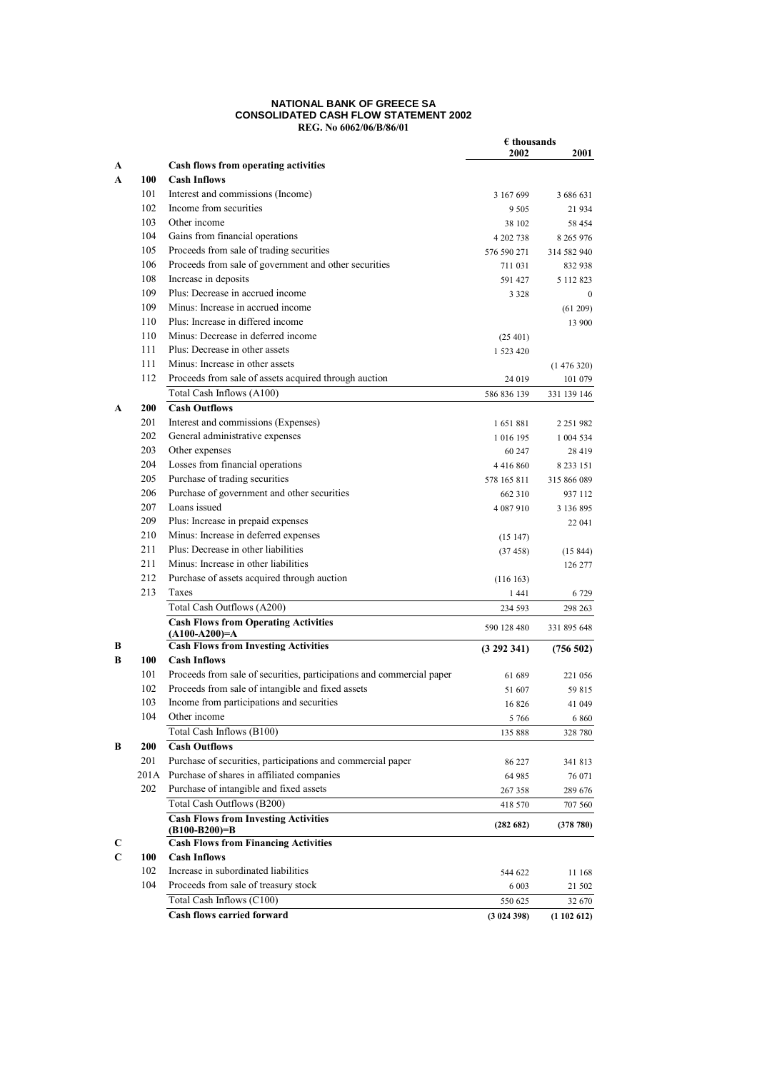#### **NATIONAL BANK OF GREECE SA CONSOLIDATED CASH FLOW STATEMENT 2002 REG. No 6062/06/B/86/01**

|        |            |                                                                       | $\epsilon$ thousands |               |
|--------|------------|-----------------------------------------------------------------------|----------------------|---------------|
|        |            |                                                                       | 2002                 | 2001          |
| A      |            | Cash flows from operating activities                                  |                      |               |
| A      | 100        | <b>Cash Inflows</b>                                                   |                      |               |
|        | 101        | Interest and commissions (Income)                                     | 3 167 699            | 3 686 631     |
|        | 102        | Income from securities                                                | 9 5 0 5              | 21 934        |
|        | 103        | Other income                                                          | 38 102               | 58 454        |
|        | 104        | Gains from financial operations                                       | 4 202 738            | 8 2 6 5 9 7 6 |
|        | 105        | Proceeds from sale of trading securities                              | 576 590 271          | 314 582 940   |
|        | 106        | Proceeds from sale of government and other securities                 | 711 031              | 832 938       |
|        | 108        | Increase in deposits                                                  | 591 427              | 5 112 823     |
|        | 109        | Plus: Decrease in accrued income                                      | 3 3 2 8              | $\mathbf{0}$  |
|        | 109        | Minus: Increase in accrued income                                     |                      | (61 209)      |
|        | 110        | Plus: Increase in differed income                                     |                      | 13 900        |
|        | 110        | Minus: Decrease in deferred income                                    | (25, 401)            |               |
|        | 111        | Plus: Decrease in other assets                                        | 1 523 420            |               |
|        | 111        | Minus: Increase in other assets                                       |                      | (1476320)     |
|        | 112        | Proceeds from sale of assets acquired through auction                 | 24 019               | 101 079       |
|        |            | Total Cash Inflows (A100)                                             | 586 836 139          | 331 139 146   |
| A      | <b>200</b> | <b>Cash Outflows</b>                                                  |                      |               |
|        | 201        | Interest and commissions (Expenses)                                   | 1651881              | 2 2 5 1 9 8 2 |
|        | 202        | General administrative expenses                                       | 1 016 195            | 1 004 534     |
|        | 203        | Other expenses                                                        | 60 247               | 28 419        |
|        | 204        | Losses from financial operations                                      | 4 4 1 6 8 6 0        | 8 2 3 1 5 1   |
|        | 205        | Purchase of trading securities                                        | 578 165 811          | 315 866 089   |
|        | 206        | Purchase of government and other securities                           | 662 310              | 937 112       |
|        | 207        | Loans issued                                                          | 4 087 910            | 3 136 895     |
|        | 209        | Plus: Increase in prepaid expenses                                    |                      | 22 041        |
|        | 210        | Minus: Increase in deferred expenses                                  | (15147)              |               |
|        | 211        | Plus: Decrease in other liabilities                                   | (37458)              | (15844)       |
|        | 211        | Minus: Increase in other liabilities                                  |                      | 126 277       |
|        | 212        | Purchase of assets acquired through auction                           | (116163)             |               |
|        | 213        | Taxes                                                                 | 1441                 | 6 7 2 9       |
|        |            | Total Cash Outflows (A200)                                            | 234 593              | 298 263       |
|        |            | <b>Cash Flows from Operating Activities</b>                           |                      |               |
|        |            | $(A100-A200)=A$                                                       | 590 128 480          | 331 895 648   |
| B      |            | <b>Cash Flows from Investing Activities</b>                           | (3 292 341)          | (756502)      |
| B      | 100        | <b>Cash Inflows</b>                                                   |                      |               |
|        | 101        | Proceeds from sale of securities, participations and commercial paper | 61 689               | 221 056       |
|        | 102        | Proceeds from sale of intangible and fixed assets                     | 51 607               | 59 815        |
|        | 103        | Income from participations and securities                             | 16826                | 41 049        |
|        | 104        | Other income                                                          | 5766                 | 6 8 6 0       |
|        |            | Total Cash Inflows (B100)                                             | 135 888              | 328 780       |
| B      | 200        | <b>Cash Outflows</b>                                                  |                      |               |
|        | 201        | Purchase of securities, participations and commercial paper           | 86 227               | 341 813       |
|        | 201A       | Purchase of shares in affiliated companies                            | 64 985               | 76 071        |
|        | 202        | Purchase of intangible and fixed assets                               | 267 358              | 289 676       |
|        |            | Total Cash Outflows (B200)                                            | 418 570              | 707 560       |
|        |            | <b>Cash Flows from Investing Activities</b>                           | (282 682)            | (378 780)     |
|        |            | $(B100-B200)=B$<br><b>Cash Flows from Financing Activities</b>        |                      |               |
| C<br>C | 100        | <b>Cash Inflows</b>                                                   |                      |               |
|        | 102        |                                                                       |                      |               |
|        | 104        | Increase in subordinated liabilities                                  | 544 622              | 11 168        |
|        |            | Proceeds from sale of treasury stock                                  | 6 0 0 3              | 21 502        |
|        |            | Total Cash Inflows (C100)                                             | 550 625              | 32 670        |
|        |            | <b>Cash flows carried forward</b>                                     | (3024398)            | (1102612)     |